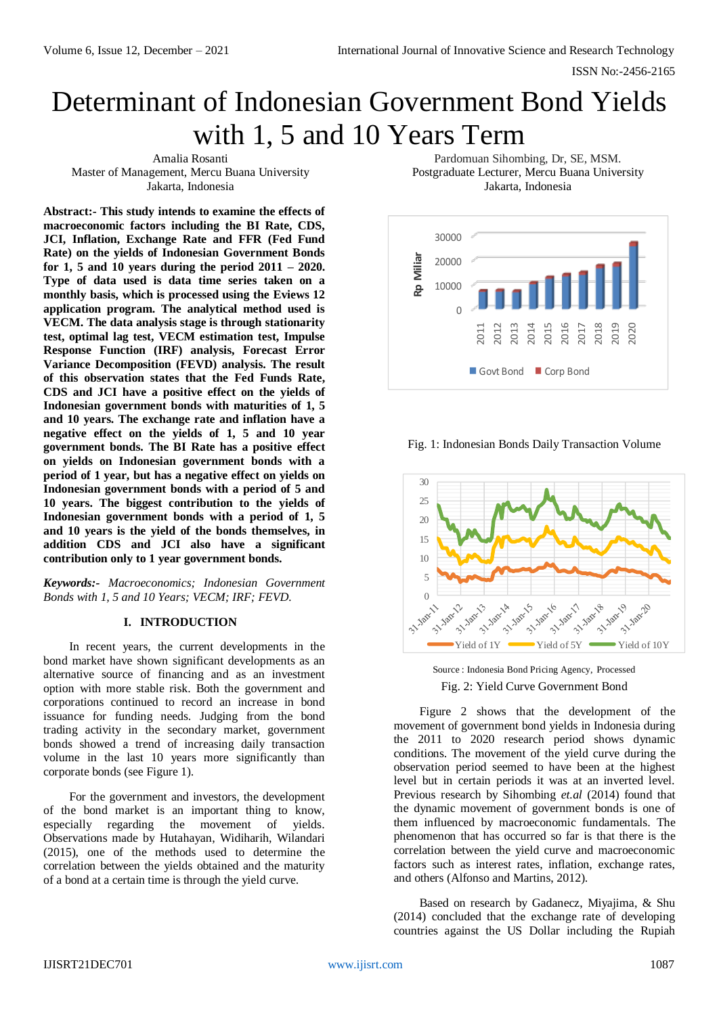# Determinant of Indonesian Government Bond Yields with 1, 5 and 10 Years Term

Amalia Rosanti

Master of Management, Mercu Buana University Jakarta, Indonesia

**Abstract:- This study intends to examine the effects of macroeconomic factors including the BI Rate, CDS, JCI, Inflation, Exchange Rate and FFR (Fed Fund Rate) on the yields of Indonesian Government Bonds for 1, 5 and 10 years during the period 2011 – 2020. Type of data used is data time series taken on a monthly basis, which is processed using the Eviews 12 application program. The analytical method used is VECM. The data analysis stage is through stationarity test, optimal lag test, VECM estimation test, Impulse Response Function (IRF) analysis, Forecast Error Variance Decomposition (FEVD) analysis. The result of this observation states that the Fed Funds Rate, CDS and JCI have a positive effect on the yields of Indonesian government bonds with maturities of 1, 5 and 10 years. The exchange rate and inflation have a negative effect on the yields of 1, 5 and 10 year government bonds. The BI Rate has a positive effect on yields on Indonesian government bonds with a period of 1 year, but has a negative effect on yields on Indonesian government bonds with a period of 5 and 10 years. The biggest contribution to the yields of Indonesian government bonds with a period of 1, 5 and 10 years is the yield of the bonds themselves, in addition CDS and JCI also have a significant contribution only to 1 year government bonds.**

*Keywords:- Macroeconomics; Indonesian Government Bonds with 1, 5 and 10 Years; VECM; IRF; FEVD.*

#### **I. INTRODUCTION**

In recent years, the current developments in the bond market have shown significant developments as an alternative source of financing and as an investment option with more stable risk. Both the government and corporations continued to record an increase in bond issuance for funding needs. Judging from the bond trading activity in the secondary market, government bonds showed a trend of increasing daily transaction volume in the last 10 years more significantly than corporate bonds (see Figure 1).

For the government and investors, the development of the bond market is an important thing to know, especially regarding the movement of yields. Observations made by Hutahayan, Widiharih, Wilandari (2015), one of the methods used to determine the correlation between the yields obtained and the maturity of a bond at a certain time is through the yield curve.

Pardomuan Sihombing, Dr, SE, MSM. Postgraduate Lecturer, Mercu Buana University Jakarta, Indonesia



Fig. 1: Indonesian Bonds Daily Transaction Volume



Source : Indonesia Bond Pricing Agency, Processed Fig. 2: Yield Curve Government Bond

Figure 2 shows that the development of the movement of government bond yields in Indonesia during the 2011 to 2020 research period shows dynamic conditions. The movement of the yield curve during the observation period seemed to have been at the highest level but in certain periods it was at an inverted level. Previous research by Sihombing *et.al* (2014) found that the dynamic movement of government bonds is one of them influenced by macroeconomic fundamentals. The phenomenon that has occurred so far is that there is the correlation between the yield curve and macroeconomic factors such as interest rates, inflation, exchange rates, and others (Alfonso and Martins, 2012).

Based on research by Gadanecz, Miyajima, & Shu (2014) concluded that the exchange rate of developing countries against the US Dollar including the Rupiah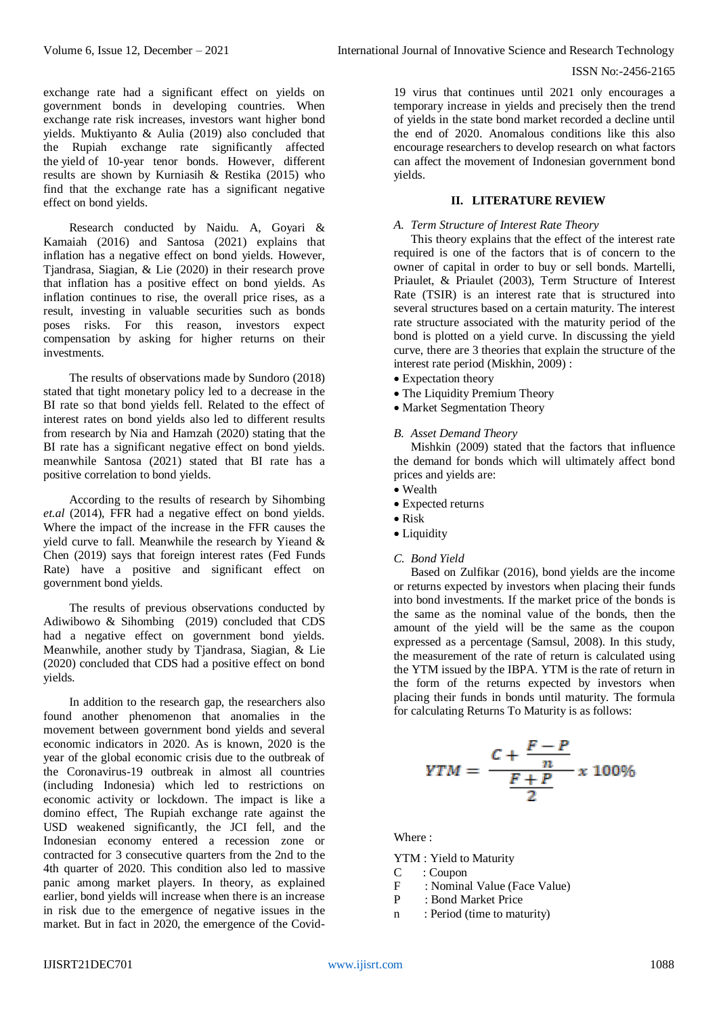exchange rate had a significant effect on yields on government bonds in developing countries. When exchange rate risk increases, investors want higher bond yields. Muktiyanto & Aulia (2019) also concluded that the Rupiah exchange rate significantly affected the yield of 10-year tenor bonds. However, different results are shown by Kurniasih & Restika (2015) who find that the exchange rate has a significant negative effect on bond yields.

Research conducted by Naidu. A, Goyari & Kamaiah (2016) and Santosa (2021) explains that inflation has a negative effect on bond yields. However, Tjandrasa, Siagian, & Lie (2020) in their research prove that inflation has a positive effect on bond yields. As inflation continues to rise, the overall price rises, as a result, investing in valuable securities such as bonds poses risks. For this reason, investors expect compensation by asking for higher returns on their investments.

The results of observations made by Sundoro (2018) stated that tight monetary policy led to a decrease in the BI rate so that bond yields fell. Related to the effect of interest rates on bond yields also led to different results from research by Nia and Hamzah (2020) stating that the BI rate has a significant negative effect on bond yields. meanwhile Santosa (2021) stated that BI rate has a positive correlation to bond yields.

According to the results of research by Sihombing *et.al* (2014), FFR had a negative effect on bond yields. Where the impact of the increase in the FFR causes the yield curve to fall. Meanwhile the research by Yieand & Chen (2019) says that foreign interest rates (Fed Funds Rate) have a positive and significant effect on government bond yields.

The results of previous observations conducted by Adiwibowo & Sihombing (2019) concluded that CDS had a negative effect on government bond yields. Meanwhile, another study by Tjandrasa, Siagian, & Lie (2020) concluded that CDS had a positive effect on bond yields*.*

In addition to the research gap, the researchers also found another phenomenon that anomalies in the movement between government bond yields and several economic indicators in 2020. As is known, 2020 is the year of the global economic crisis due to the outbreak of the Coronavirus-19 outbreak in almost all countries (including Indonesia) which led to restrictions on economic activity or lockdown. The impact is like a domino effect, The Rupiah exchange rate against the USD weakened significantly, the JCI fell, and the Indonesian economy entered a recession zone or contracted for 3 consecutive quarters from the 2nd to the 4th quarter of 2020. This condition also led to massive panic among market players. In theory, as explained earlier, bond yields will increase when there is an increase in risk due to the emergence of negative issues in the market. But in fact in 2020, the emergence of the Covid19 virus that continues until 2021 only encourages a temporary increase in yields and precisely then the trend of yields in the state bond market recorded a decline until the end of 2020. Anomalous conditions like this also encourage researchers to develop research on what factors can affect the movement of Indonesian government bond yields.

#### **II. LITERATURE REVIEW**

#### *A. Term Structure of Interest Rate Theory*

This theory explains that the effect of the interest rate required is one of the factors that is of concern to the owner of capital in order to buy or sell bonds. Martelli, Priaulet, & Priaulet (2003), Term Structure of Interest Rate (TSIR) is an interest rate that is structured into several structures based on a certain maturity. The interest rate structure associated with the maturity period of the bond is plotted on a yield curve. In discussing the yield curve, there are 3 theories that explain the structure of the interest rate period (Miskhin, 2009) :

- Expectation theory
- The Liquidity Premium Theory
- Market Segmentation Theory
- *B. Asset Demand Theory*

Mishkin (2009) stated that the factors that influence the demand for bonds which will ultimately affect bond prices and yields are:

- Wealth
- Expected returns
- Risk
- Liquidity
- *C. Bond Yield*

Based on Zulfikar (2016), bond yields are the income or returns expected by investors when placing their funds into bond investments. If the market price of the bonds is the same as the nominal value of the bonds, then the amount of the yield will be the same as the coupon expressed as a percentage (Samsul, 2008). In this study, the measurement of the rate of return is calculated using the YTM issued by the IBPA. YTM is the rate of return in the form of the returns expected by investors when placing their funds in bonds until maturity. The formula for calculating Returns To Maturity is as follows:

$$
YTM = \frac{C + \frac{F - P}{n}}{\frac{F + P}{2}} \times 100\%
$$

Where :

YTM : Yield to Maturity

- C : Coupon
- F : Nominal Value (Face Value)
- P : Bond Market Price
- n : Period (time to maturity)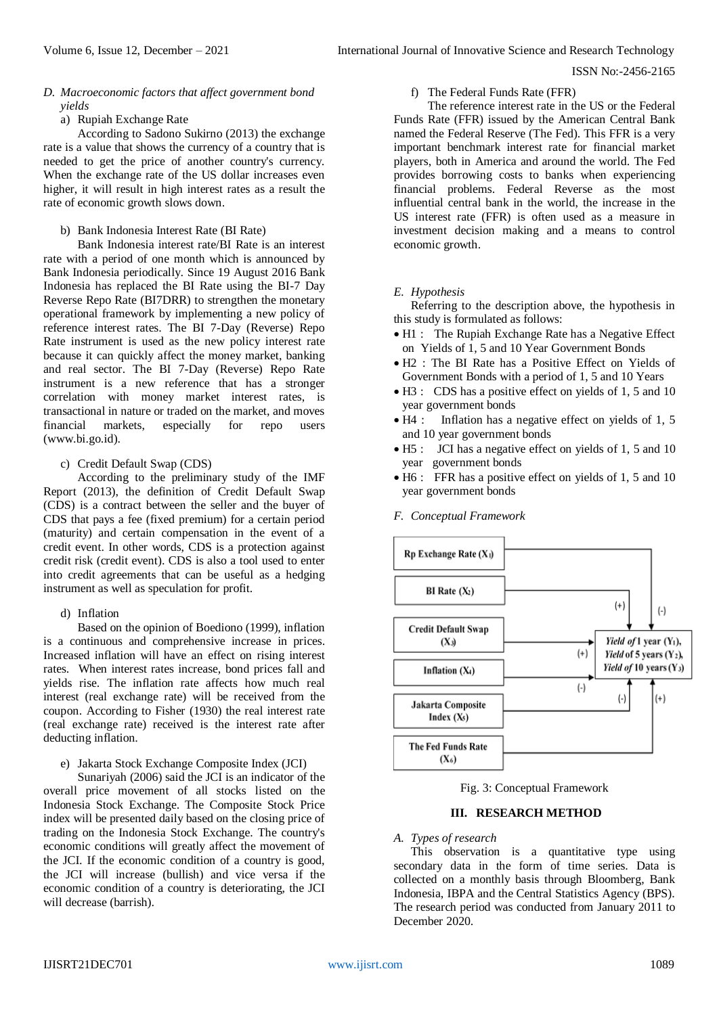*D. Macroeconomic factors that affect government bond yields*

# a) Rupiah Exchange Rate

According to Sadono Sukirno (2013) the exchange rate is a value that shows the currency of a country that is needed to get the price of another country's currency. When the exchange rate of the US dollar increases even higher, it will result in high interest rates as a result the rate of economic growth slows down.

b) Bank Indonesia Interest Rate (BI Rate)

Bank Indonesia interest rate/BI Rate is an interest rate with a period of one month which is announced by Bank Indonesia periodically. Since 19 August 2016 Bank Indonesia has replaced the BI Rate using the BI-7 Day Reverse Repo Rate (BI7DRR) to strengthen the monetary operational framework by implementing a new policy of reference interest rates. The BI 7-Day (Reverse) Repo Rate instrument is used as the new policy interest rate because it can quickly affect the money market, banking and real sector. The BI 7-Day (Reverse) Repo Rate instrument is a new reference that has a stronger correlation with money market interest rates, is transactional in nature or traded on the market, and moves financial markets, especially for repo users [\(www.bi.go.id\)](http://www.bi.go.id/).

#### c) Credit Default Swap (CDS)

According to the preliminary study of the IMF Report (2013), the definition of Credit Default Swap (CDS) is a contract between the seller and the buyer of CDS that pays a fee (fixed premium) for a certain period (maturity) and certain compensation in the event of a credit event. In other words, CDS is a protection against credit risk (credit event). CDS is also a tool used to enter into credit agreements that can be useful as a hedging instrument as well as speculation for profit.

#### d) Inflation

Based on the opinion of Boediono (1999), inflation is a continuous and comprehensive increase in prices. Increased inflation will have an effect on rising interest rates. When interest rates increase, bond prices fall and yields rise. The inflation rate affects how much real interest (real exchange rate) will be received from the coupon. According to Fisher (1930) the real interest rate (real exchange rate) received is the interest rate after deducting inflation.

#### e) Jakarta Stock Exchange Composite Index (JCI)

Sunariyah (2006) said the JCI is an indicator of the overall price movement of all stocks listed on the Indonesia Stock Exchange. The Composite Stock Price index will be presented daily based on the closing price of trading on the Indonesia Stock Exchange. The country's economic conditions will greatly affect the movement of the JCI. If the economic condition of a country is good, the JCI will increase (bullish) and vice versa if the economic condition of a country is deteriorating, the JCI will decrease (barrish).

f) The Federal Funds Rate (FFR)

The reference interest rate in the US or the Federal Funds Rate (FFR) issued by the American Central Bank named the Federal Reserve (The Fed). This FFR is a very important benchmark interest rate for financial market players, both in America and around the world. The Fed provides borrowing costs to banks when experiencing financial problems. Federal Reverse as the most influential central bank in the world, the increase in the US interest rate (FFR) is often used as a measure in investment decision making and a means to control economic growth.

# *E. Hypothesis*

Referring to the description above, the hypothesis in this study is formulated as follows:

- H1 : The Rupiah Exchange Rate has a Negative Effect on Yields of 1, 5 and 10 Year Government Bonds
- H2 : The BI Rate has a Positive Effect on Yields of Government Bonds with a period of 1, 5 and 10 Years
- H3 : CDS has a positive effect on yields of 1, 5 and 10 year government bonds
- H4 : Inflation has a negative effect on yields of 1, 5 and 10 year government bonds
- H5 : JCI has a negative effect on yields of 1, 5 and 10 year government bonds
- H6 : FFR has a positive effect on yields of 1, 5 and 10 year government bonds

#### *F. Conceptual Framework*





#### **III. RESEARCH METHOD**

#### *A. Types of research*

This observation is a quantitative type using secondary data in the form of time series. Data is collected on a monthly basis through Bloomberg, Bank Indonesia, IBPA and the Central Statistics Agency (BPS). The research period was conducted from January 2011 to December 2020.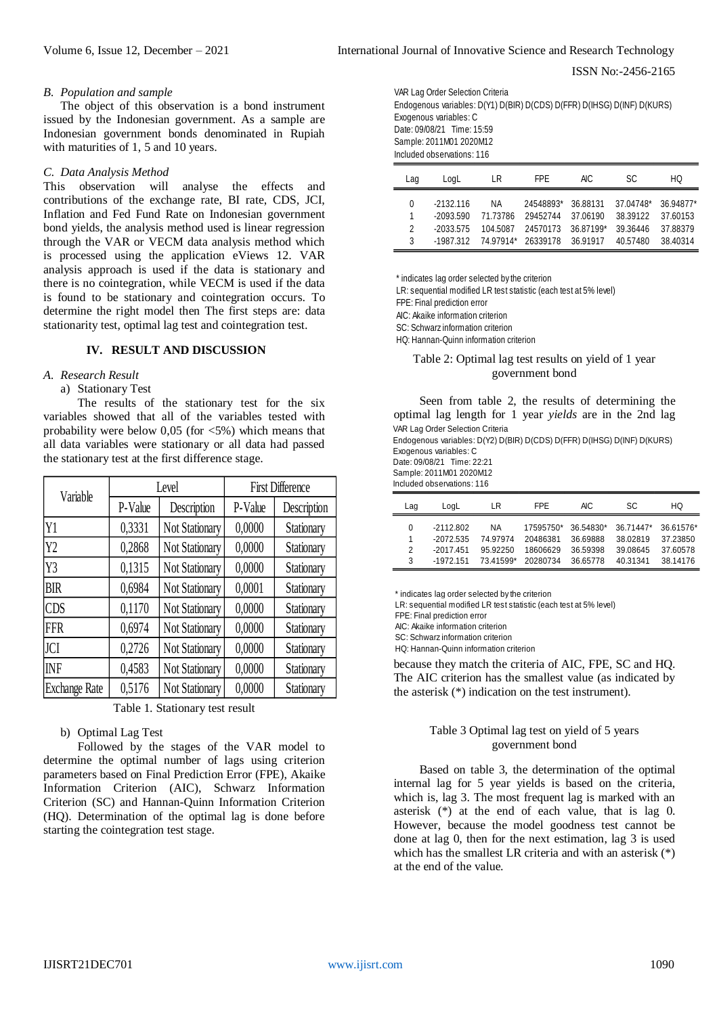#### *B. Population and sample*

The object of this observation is a bond instrument issued by the Indonesian government. As a sample are Indonesian government bonds denominated in Rupiah with maturities of 1, 5 and 10 years.

#### *C. Data Analysis Method*

This observation will analyse the effects and contributions of the exchange rate, BI rate, CDS, JCI, Inflation and Fed Fund Rate on Indonesian government bond yields, the analysis method used is linear regression through the VAR or VECM data analysis method which is processed using the application eViews 12. VAR analysis approach is used if the data is stationary and there is no cointegration, while VECM is used if the data is found to be stationary and cointegration occurs. To determine the right model then The first steps are: data stationarity test, optimal lag test and cointegration test.

# **IV. RESULT AND DISCUSSION**

#### *A. Research Result*

#### a) Stationary Test

The results of the stationary test for the six variables showed that all of the variables tested with probability were below  $0.05$  (for  $\langle 5\% \rangle$ ) which means that all data variables were stationary or all data had passed the stationary test at the first difference stage.

| Variable             |         | Level          | <b>First Difference</b> |             |  |
|----------------------|---------|----------------|-------------------------|-------------|--|
|                      | P-Value | Description    | P-Value                 | Description |  |
| Y1                   | 0,3331  | Not Stationary | 0,0000                  | Stationary  |  |
| Y2                   | 0,2868  | Not Stationary | 0,0000                  | Stationary  |  |
| Y3                   | 0,1315  | Not Stationary | 0,0000                  | Stationary  |  |
| <b>BIR</b>           | 0,6984  | Not Stationary | 0,0001                  | Stationary  |  |
| <b>CDS</b>           | 0,1170  | Not Stationary | 0,0000                  | Stationary  |  |
| <b>FFR</b>           | 0,6974  | Not Stationary | 0,0000                  | Stationary  |  |
| <b>JCI</b>           | 0,2726  | Not Stationary | 0,0000                  | Stationary  |  |
| <b>INF</b>           | 0,4583  | Not Stationary | 0,0000                  | Stationary  |  |
| <b>Exchange Rate</b> | 0,5176  | Not Stationary | 0,0000                  | Stationary  |  |

Table 1. Stationary test result

#### b) Optimal Lag Test

Followed by the stages of the VAR model to determine the optimal number of lags using criterion parameters based on Final Prediction Error (FPE), Akaike Information Criterion (AIC), Schwarz Information Criterion (SC) and Hannan-Quinn Information Criterion (HQ). Determination of the optimal lag is done before starting the cointegration test stage.

VAR Lag Order Selection Criteria Endogenous variables: D(Y1) D(BIR) D(CDS) D(FFR) D(IHSG) D(INF) D(KURS) Exogenous variables: C Date: 09/08/21 Time: 15:59 Sample: 2011M01 2020M12 Included observations: 116

| Lag | LoaL        | LR        | FPF.      | AIC       | SC.       | HQ        |
|-----|-------------|-----------|-----------|-----------|-----------|-----------|
| 0   | $-2132.116$ | <b>NA</b> | 24548893* | 36.88131  | 37.04748* | 36.94877* |
| 1   | $-2093.590$ | 71.73786  | 29452744  | 37.06190  | 38.39122  | 37.60153  |
| 2   | -2033.575   | 104.5087  | 24570173  | 36.87199* | 39.36446  | 37.88379  |
| 3   | -1987.312   | 74.97914* | 26339178  | 36.91917  | 40.57480  | 38.40314  |

\* indicates lag order selected by the criterion

LR: sequential modified LR test statistic (each test at 5% level)

FPE: Final prediction error

AIC: Akaike information criterion

SC: Schwarz information criterion

HQ: Hannan-Quinn information criterion

#### Table 2: Optimal lag test results on yield of 1 year government bond

Seen from table 2, the results of determining the optimal lag length for 1 year *yields* are in the 2nd lag VAR Lag Order Selection Criteria Endogenous variables: D(Y2) D(BIR) D(CDS) D(FFR) D(IHSG) D(INF) D(KURS) Exogenous variables: C Date: 09/08/21 Time: 22:21 Sample: 2011M01 2020M12

Included observations: 116

| Lag | LoaL        | LR        | FPF.      | AIC.      | SC        | HQ        |
|-----|-------------|-----------|-----------|-----------|-----------|-----------|
| 0   | $-2112.802$ | <b>NA</b> | 17595750* | 36.54830* | 36.71447* | 36.61576* |
| 1   | $-2072.535$ | 74 97 974 | 20486381  | 36.69888  | 38.02819  | 37.23850  |
| 2   | $-2017.451$ | 95.92250  | 18606629  | 36.59398  | 39.08645  | 37.60578  |
| 3   | $-1972.151$ | 73.41599* | 20280734  | 36.65778  | 40.31341  | 38.14176  |

\* indicates lag order selected by the criterion

LR: sequential modified LR test statistic (each test at 5% level)

FPE: Final prediction error

AIC: Akaike information criterion

SC: Schwarz information criterion

HQ: Hannan-Quinn information criterion

because they match the criteria of AIC, FPE, SC and HQ. The AIC criterion has the smallest value (as indicated by the asterisk (\*) indication on the test instrument).

#### Table 3 Optimal lag test on yield of 5 years government bond

Based on table 3, the determination of the optimal internal lag for 5 year yields is based on the criteria, which is, lag 3. The most frequent lag is marked with an asterisk (\*) at the end of each value, that is lag 0. However, because the model goodness test cannot be done at lag 0, then for the next estimation, lag 3 is used which has the smallest LR criteria and with an asterisk (\*) at the end of the value.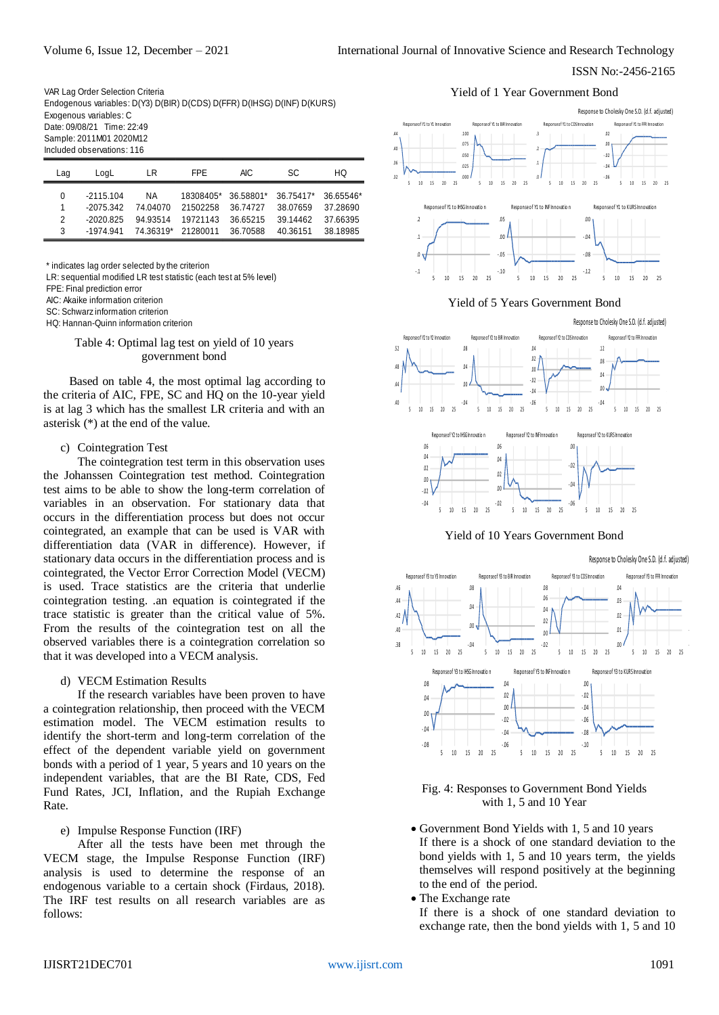VAR Lag Order Selection Criteria Endogenous variables: D(Y3) D(BIR) D(CDS) D(FFR) D(IHSG) D(INF) D(KURS) Exogenous variables: C Date: 09/08/21 Time: 22:49 Sample: 2011M01 2020M12 Included observations: 116

| Lao           | LoaL        | .R       | FPF                 | АIС      | SC.       | ΗO        |
|---------------|-------------|----------|---------------------|----------|-----------|-----------|
| 0             | $-2115.104$ | NA.      | 18308405* 36.58801* |          | 36.75417* | 36.65546* |
|               | -2075.342   | 74.04070 | 21502258            | 36.74727 | 38.07659  | 37.28690  |
| $\mathcal{P}$ | $-2020.825$ | 94.93514 | 19721143            | 36.65215 | 39.14462  | 37.66395  |
| ঽ             | -1974.941   |          | 74.36319* 21280011  | 36.70588 | 40.36151  | 38.18985  |

\* indicates lag order selected by the criterion

LR: sequential modified LR test statistic (each test at 5% level) FPE: Final prediction error AIC: Akaike information criterion

SC: Schwarz information criterion HQ: Hannan-Quinn information criterion

#### Table 4: Optimal lag test on yield of 10 years government bond .16

Based on table 4, the most optimal lag according to the criteria of AIC, FPE, SC and HQ on the 10-year yield is at lag 3 which has the smallest LR criteria and with an asterisk  $(*)$  at the end of the value.

#### c) Cointegration Test

The cointegration test term in this observation uses the Johanssen Cointegration test method. Cointegration test aims to be able to show the long-term correlation of variables in an observation. For stationary data that occurs in the differentiation process but does not occur cointegrated, an example that can be used is VAR with differentiation data (VAR in difference). However, if stationary data occurs in the differentiation process and is cointegrated, the Vector Error Correction Model (VECM) is used. Trace statistics are the criteria that underlie cointegration testing. .an equation is cointegrated if the trace statistic is greater than the critical value of 5%. From the results of the cointegration test on all the observed variables there is a cointegration correlation so that it was developed into a VECM analysis. ed. Trace statistics are the criteria -80 -.04 .1 .20  $\blacksquare$  $R_{\text{C}}$  CDS  $\sim$   $R_{\text{C}}$  $\epsilon$ Responseof CDS to BIR Innovation Responseof CDS to CDS Innovation

#### d) VECM Estimation Results  $\mathbf{p}$

If the research variables have been proven to have a cointegration relationship, then proceed with the VECM estimation model. The VECM estimation results to identify the short-term and long-term correlation of the effect of the dependent variable yield on government bonds with a period of 1 year, 5 years and 10 years on the independent variables, that are the BI Rate, CDS, Fed Fund Rates, JCI, Inflation, and the Rupiah Exchange Rate. 120 -.04 Responseof BIR to Y3 Innovation Responseof BIR to BIR Innovation Responseof BIR to CDS Innovation  $R_{\rm T}$   $\sim$   $R_{\rm T}$ Responseof FFR to BIR Innovation Responseof FFR to CDS Innovation model. The VECM estimation .32 .32 .32 .32

#### e) Impulse Response Function (IRF) lse Response Fun

After all the tests have been met through the VECM stage, the Impulse Response Function (IRF) analysis is used to determine the response of an endogenous variable to a certain shock (Firdaus, 2018). The IRF test results on all research variables are as follows:



#### Yield of 5 Years Government Bond





Responseof Y2 to BIR Innovation



#### Yield of 10 Years Government Bond 17.5 8  $\mathbf{r}$  and  $\mathbf{r}$  and  $\mathbf{r}$ r.  $R_{\rm F}$   $\sim$   $R_{\rm B}$  $\ddot{\phantom{0}}$ Responseof BIR to KURS Innovation

#### Response to Cholesky One S.D. (d.f. adjusted)





- Government Bond Yields with 1, 5 and 10 years If there is a shock of one standard deviation to the bond yields with 1, 5 and 10 years term, the yields themselves will respond positively at the beginning to the end of the period. Responseof KURS <sup>t</sup> <sup>o</sup> IHSG Innovatio <sup>n</sup>  $_{\rm 0010}$   $_{\rm 000}$   $_{\rm 0010}$ emselves will respond positively at the begin bond yields with 1, 5 and 10 years term, the yields If there is a shock of one standard deviation to the 2 0
	- The Exchange rate

If there is a shock of one standard deviation to exchange rate, then the bond yields with 1, 5 and 10 f there is a shock of one standard deviation to  $\mathbf{C}$ one standard d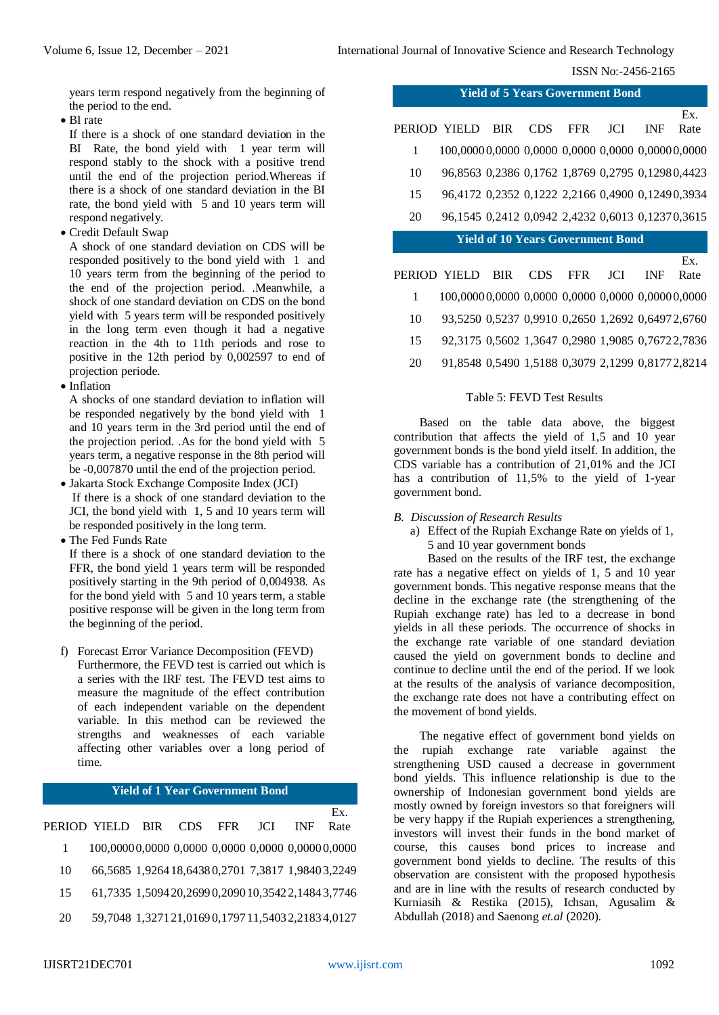ISSN No:-2456-2165

Ex.

 $F_{Y}$ 

years term respond negatively from the beginning of the period to the end.

• BI rate

If there is a shock of one standard deviation in the BI Rate, the bond yield with 1 year term will respond stably to the shock with a positive trend until the end of the projection period.Whereas if there is a shock of one standard deviation in the BI rate, the bond yield with 5 and 10 years term will respond negatively.

Credit Default Swap

A shock of one standard deviation on CDS will be responded positively to the bond yield with 1 and 10 years term from the beginning of the period to the end of the projection period. .Meanwhile, a shock of one standard deviation on CDS on the bond yield with 5 years term will be responded positively in the long term even though it had a negative reaction in the 4th to 11th periods and rose to positive in the 12th period by 0,002597 to end of projection periode.

• Inflation

A shocks of one standard deviation to inflation will be responded negatively by the bond yield with 1 and 10 years term in the 3rd period until the end of the projection period. .As for the bond yield with 5 years term, a negative response in the 8th period will be -0,007870 until the end of the projection period.

 Jakarta Stock Exchange Composite Index (JCI) If there is a shock of one standard deviation to the JCI, the bond yield with 1, 5 and 10 years term will be responded positively in the long term.

• The Fed Funds Rate

If there is a shock of one standard deviation to the FFR, the bond yield 1 years term will be responded positively starting in the 9th period of 0,004938. As for the bond yield with 5 and 10 years term, a stable positive response will be given in the long term from the beginning of the period.

f) Forecast Error Variance Decomposition (FEVD) Furthermore, the FEVD test is carried out which is a series with the IRF test. The FEVD test aims to measure the magnitude of the effect contribution of each independent variable on the dependent variable. In this method can be reviewed the strengths and weaknesses of each variable affecting other variables over a long period of time.

#### **Yield of 1 Year Government Bond**

PERIOD YIELD BIR CDS FFR JCI INF Ex. Rate 1 100,00000,0000 0,0000 0,0000 0,0000 0,00000,0000 10 66,5685 1,926418,6438 0,2701 7,3817 1,98403,2249 15 61,7335 1,509420,2699 0,209010,35422,14843,7746

20 59,7048 1,327121,0169 0,179711,54032,21834,0127

| <b>Yield of 5 Years Government Bond </b> |
|------------------------------------------|
|------------------------------------------|

| PERIOD YIELD BIR CDS FFR JCI INF Rate |  |  |  |  |
|---------------------------------------|--|--|--|--|

- 1 100,00000,0000 0,0000 0,0000 0,0000 0,00000,0000
- 10 96,8563 0,2386 0,1762 1,8769 0,2795 0,12980,4423
- 15 96,4172 0,2352 0,1222 2,2166 0,4900 0,12490,3934
- 20 96,1545 0,2412 0,0942 2,4232 0,6013 0,12370,3615

#### **Yield of 10 Years Government Bond**

#### PERIOD YIELD BIR CDS FFR JCI INF Rate

- 1 100,00000,0000 0,0000 0,0000 0,0000 0,00000,0000
- 10 93,5250 0,5237 0,9910 0,2650 1,2692 0,64972,6760
- 15 92,3175 0,5602 1,3647 0,2980 1,9085 0,76722,7836
- 20 91,8548 0,5490 1,5188 0,3079 2,1299 0,81772,8214

# Table 5: FEVD Test Results

Based on the table data above, the biggest contribution that affects the yield of 1,5 and 10 year government bonds is the bond yield itself. In addition, the CDS variable has a contribution of 21,01% and the JCI has a contribution of 11,5% to the yield of 1-year government bond.

#### *B. Discussion of Research Results*

a) Effect of the Rupiah Exchange Rate on yields of 1, 5 and 10 year government bonds

Based on the results of the IRF test, the exchange rate has a negative effect on yields of 1, 5 and 10 year government bonds. This negative response means that the decline in the exchange rate (the strengthening of the Rupiah exchange rate) has led to a decrease in bond yields in all these periods. The occurrence of shocks in the exchange rate variable of one standard deviation caused the yield on government bonds to decline and continue to decline until the end of the period. If we look at the results of the analysis of variance decomposition, the exchange rate does not have a contributing effect on the movement of bond yields.

The negative effect of government bond yields on the rupiah exchange rate variable against the strengthening USD caused a decrease in government bond yields. This influence relationship is due to the ownership of Indonesian government bond yields are mostly owned by foreign investors so that foreigners will be very happy if the Rupiah experiences a strengthening, investors will invest their funds in the bond market of course, this causes bond prices to increase and government bond yields to decline. The results of this observation are consistent with the proposed hypothesis and are in line with the results of research conducted by Kurniasih & Restika (2015), Ichsan, Agusalim & Abdullah (2018) and Saenong *et.al* (2020).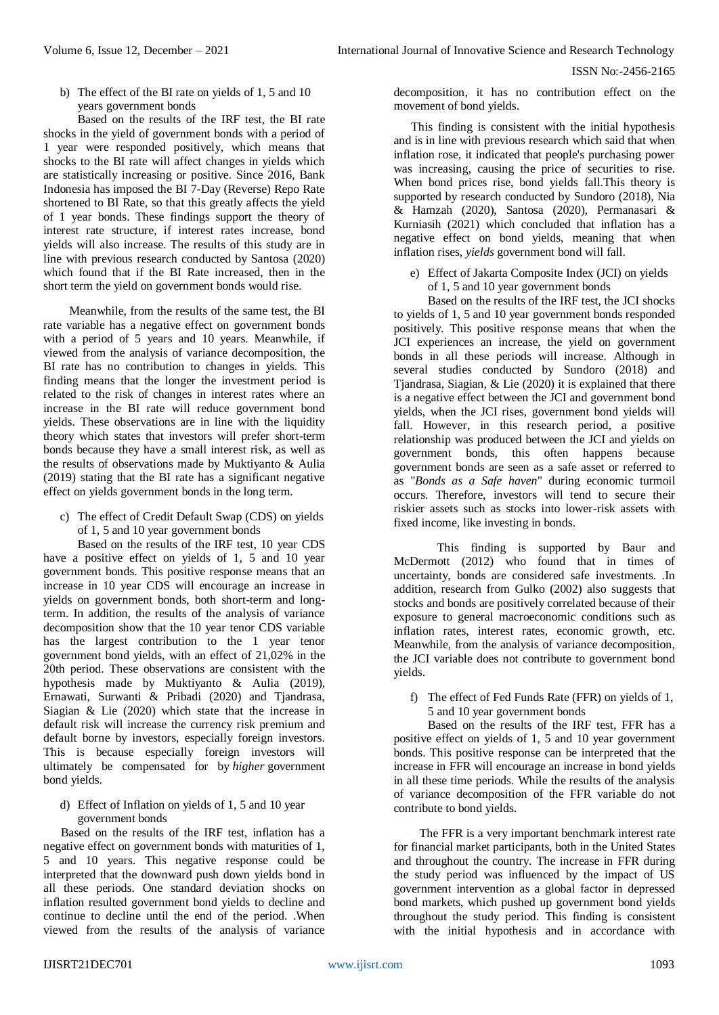b) The effect of the BI rate on yields of 1, 5 and 10 years government bonds

Based on the results of the IRF test, the BI rate shocks in the yield of government bonds with a period of 1 year were responded positively, which means that shocks to the BI rate will affect changes in yields which are statistically increasing or positive. Since 2016, Bank Indonesia has imposed the BI 7-Day (Reverse) Repo Rate shortened to BI Rate, so that this greatly affects the yield of 1 year bonds. These findings support the theory of interest rate structure, if interest rates increase, bond yields will also increase. The results of this study are in line with previous research conducted by Santosa (2020) which found that if the BI Rate increased, then in the short term the yield on government bonds would rise.

Meanwhile, from the results of the same test, the BI rate variable has a negative effect on government bonds with a period of 5 years and 10 years. Meanwhile, if viewed from the analysis of variance decomposition, the BI rate has no contribution to changes in yields. This finding means that the longer the investment period is related to the risk of changes in interest rates where an increase in the BI rate will reduce government bond yields. These observations are in line with the liquidity theory which states that investors will prefer short-term bonds because they have a small interest risk, as well as the results of observations made by Muktiyanto & Aulia (2019) stating that the BI rate has a significant negative effect on yields government bonds in the long term.

c) The effect of Credit Default Swap (CDS) on yields of 1, 5 and 10 year government bonds

Based on the results of the IRF test, 10 year CDS have a positive effect on yields of 1, 5 and 10 year government bonds. This positive response means that an increase in 10 year CDS will encourage an increase in yields on government bonds, both short-term and longterm. In addition, the results of the analysis of variance decomposition show that the 10 year tenor CDS variable has the largest contribution to the 1 year tenor government bond yields, with an effect of 21,02% in the 20th period. These observations are consistent with the hypothesis made by Muktiyanto & Aulia (2019), Ernawati, Surwanti & Pribadi (2020) and Tjandrasa, Siagian & Lie (2020) which state that the increase in default risk will increase the currency risk premium and default borne by investors, especially foreign investors. This is because especially foreign investors will ultimately be compensated for by *higher* government bond yields.

d) Effect of Inflation on yields of 1, 5 and 10 year government bonds

Based on the results of the IRF test, inflation has a negative effect on government bonds with maturities of 1, 5 and 10 years. This negative response could be interpreted that the downward push down yields bond in all these periods. One standard deviation shocks on inflation resulted government bond yields to decline and continue to decline until the end of the period. .When viewed from the results of the analysis of variance

decomposition, it has no contribution effect on the movement of bond yields.

This finding is consistent with the initial hypothesis and is in line with previous research which said that when inflation rose, it indicated that people's purchasing power was increasing, causing the price of securities to rise. When bond prices rise, bond yields fall.This theory is supported by research conducted by Sundoro (2018), Nia & Hamzah (2020), Santosa (2020), Permanasari & Kurniasih (2021) which concluded that inflation has a negative effect on bond yields, meaning that when inflation rises, *yields* government bond will fall.

e) Effect of Jakarta Composite Index (JCI) on yields of 1, 5 and 10 year government bonds

Based on the results of the IRF test, the JCI shocks to yields of 1, 5 and 10 year government bonds responded positively. This positive response means that when the JCI experiences an increase, the yield on government bonds in all these periods will increase. Although in several studies conducted by Sundoro (2018) and Tjandrasa, Siagian, & Lie (2020) it is explained that there is a negative effect between the JCI and government bond yields, when the JCI rises, government bond yields will fall. However, in this research period, a positive relationship was produced between the JCI and yields on government bonds, this often happens because government bonds are seen as a safe asset or referred to as "*Bonds as a Safe haven*" during economic turmoil occurs. Therefore, investors will tend to secure their riskier assets such as stocks into lower-risk assets with fixed income, like investing in bonds.

This finding is supported by Baur and McDermott (2012) who found that in times of uncertainty, bonds are considered safe investments. .In addition, research from Gulko (2002) also suggests that stocks and bonds are positively correlated because of their exposure to general macroeconomic conditions such as inflation rates, interest rates, economic growth, etc. Meanwhile, from the analysis of variance decomposition, the JCI variable does not contribute to government bond yields.

f) The effect of Fed Funds Rate (FFR) on yields of 1, 5 and 10 year government bonds

Based on the results of the IRF test, FFR has a positive effect on yields of 1, 5 and 10 year government bonds. This positive response can be interpreted that the increase in FFR will encourage an increase in bond yields in all these time periods. While the results of the analysis of variance decomposition of the FFR variable do not contribute to bond yields.

The FFR is a very important benchmark interest rate for financial market participants, both in the United States and throughout the country. The increase in FFR during the study period was influenced by the impact of US government intervention as a global factor in depressed bond markets, which pushed up government bond yields throughout the study period. This finding is consistent with the initial hypothesis and in accordance with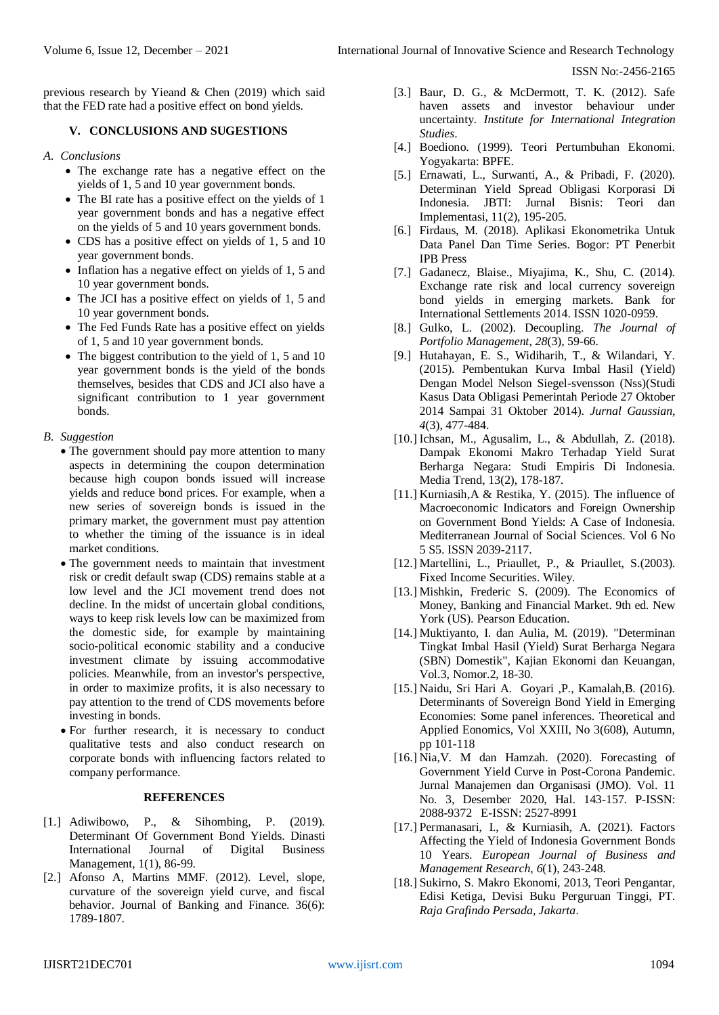previous research by Yieand & Chen (2019) which said that the FED rate had a positive effect on bond yields.

# **V. CONCLUSIONS AND SUGESTIONS**

- *A. Conclusions*
	- The exchange rate has a negative effect on the yields of 1, 5 and 10 year government bonds.
	- The BI rate has a positive effect on the yields of 1 year government bonds and has a negative effect on the yields of 5 and 10 years government bonds.
	- CDS has a positive effect on yields of 1, 5 and 10 year government bonds.
	- Inflation has a negative effect on yields of 1, 5 and 10 year government bonds.
	- The JCI has a positive effect on yields of 1, 5 and 10 year government bonds.
	- The Fed Funds Rate has a positive effect on yields of 1, 5 and 10 year government bonds.
	- The biggest contribution to the yield of 1, 5 and 10 year government bonds is the yield of the bonds themselves, besides that CDS and JCI also have a significant contribution to 1 year government bonds.
- *B. Suggestion*
	- The government should pay more attention to many aspects in determining the coupon determination because high coupon bonds issued will increase yields and reduce bond prices. For example, when a new series of sovereign bonds is issued in the primary market, the government must pay attention to whether the timing of the issuance is in ideal market conditions.
	- The government needs to maintain that investment risk or credit default swap (CDS) remains stable at a low level and the JCI movement trend does not decline. In the midst of uncertain global conditions, ways to keep risk levels low can be maximized from the domestic side, for example by maintaining socio-political economic stability and a conducive investment climate by issuing accommodative policies. Meanwhile, from an investor's perspective, in order to maximize profits, it is also necessary to pay attention to the trend of CDS movements before investing in bonds.
	- For further research, it is necessary to conduct qualitative tests and also conduct research on corporate bonds with influencing factors related to company performance.

#### **REFERENCES**

- [1.] Adiwibowo, P., & Sihombing, P. (2019). Determinant Of Government Bond Yields. Dinasti International Journal of Digital Business Management, 1(1), 86-99.
- [2.] Afonso A, Martins MMF. (2012). Level, slope, curvature of the sovereign yield curve, and fiscal behavior. Journal of Banking and Finance. 36(6): 1789-1807.
- [3.] Baur, D. G., & McDermott, T. K. (2012). Safe haven assets and investor behaviour under uncertainty. *Institute for International Integration Studies*.
- [4.] Boediono. (1999). Teori Pertumbuhan Ekonomi. Yogyakarta: BPFE.
- [5.] Ernawati, L., Surwanti, A., & Pribadi, F. (2020). Determinan Yield Spread Obligasi Korporasi Di Indonesia. JBTI: Jurnal Bisnis: Teori dan Implementasi, 11(2), 195-205.
- [6.] Firdaus, M. (2018). Aplikasi Ekonometrika Untuk Data Panel Dan Time Series. Bogor: PT Penerbit IPB Press
- [7.] Gadanecz, Blaise., Miyajima, K., Shu, C. (2014). Exchange rate risk and local currency sovereign bond yields in emerging markets. Bank for International Settlements 2014. ISSN 1020-0959.
- [8.] Gulko, L. (2002). Decoupling. *The Journal of Portfolio Management*, *28*(3), 59-66.
- [9.] Hutahayan, E. S., Widiharih, T., & Wilandari, Y. (2015). Pembentukan Kurva Imbal Hasil (Yield) Dengan Model Nelson Siegel-svensson (Nss)(Studi Kasus Data Obligasi Pemerintah Periode 27 Oktober 2014 Sampai 31 Oktober 2014). *Jurnal Gaussian*, *4*(3), 477-484.
- [10.] Ichsan, M., Agusalim, L., & Abdullah, Z. (2018). Dampak Ekonomi Makro Terhadap Yield Surat Berharga Negara: Studi Empiris Di Indonesia. Media Trend, 13(2), 178-187.
- [11.] Kurniasih,A & Restika, Y. (2015). The influence of Macroeconomic Indicators and Foreign Ownership on Government Bond Yields: A Case of Indonesia. Mediterranean Journal of Social Sciences. Vol 6 No 5 S5. ISSN 2039-2117.
- [12.] Martellini, L., Priaullet, P., & Priaullet, S.(2003). Fixed Income Securities. Wiley.
- [13.] Mishkin, Frederic S. (2009). The Economics of Money, Banking and Financial Market. 9th ed. New York (US). Pearson Education.
- [14.] Muktiyanto, I. dan Aulia, M. (2019). "Determinan Tingkat Imbal Hasil (Yield) Surat Berharga Negara (SBN) Domestik", Kajian Ekonomi dan Keuangan, Vol.3, Nomor.2, 18-30.
- [15.] Naidu, Sri Hari A. Goyari ,P., Kamalah,B. (2016). Determinants of Sovereign Bond Yield in Emerging Economies: Some panel inferences. Theoretical and Applied Eonomics, Vol XXIII, No 3(608), Autumn, pp 101-118
- [16.] Nia,V. M dan Hamzah. (2020). Forecasting of Government Yield Curve in Post-Corona Pandemic. Jurnal Manajemen dan Organisasi (JMO). Vol. 11 No. 3, Desember 2020, Hal. 143-157. P-ISSN: 2088-9372 E-ISSN: 2527-8991
- [17.] Permanasari, I., & Kurniasih, A. (2021). Factors Affecting the Yield of Indonesia Government Bonds 10 Years. *European Journal of Business and Management Research*, *6*(1), 243-248.
- [18.] Sukirno, S. Makro Ekonomi, 2013, Teori Pengantar, Edisi Ketiga, Devisi Buku Perguruan Tinggi, PT. *Raja Grafindo Persada, Jakarta*.